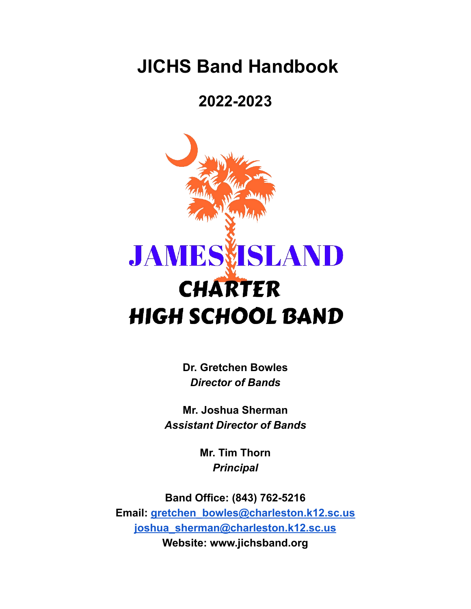## **JICHS Band Handbook**

### **2022-2023**



**Dr. Gretchen Bowles** *Director of Bands*

**Mr. Joshua Sherman** *Assistant Director of Bands*

> **Mr. Tim Thorn** *Principal*

**Band Office: (843) 762-5216 Email: [gretchen\\_bowles@charleston.k12.sc.us](mailto:gretchen_bowles@charleston.k12.sc.us) [joshua\\_sherman@charleston.k12.sc.us](mailto:joshua_sherman@charleston.k12.sc.us) Website: www.jichsband.org**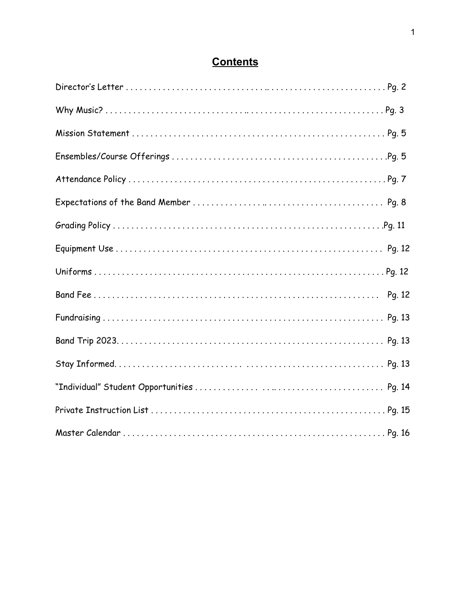| Pg. 12 |
|--------|
|        |
|        |
|        |
|        |
|        |
|        |

### **Contents**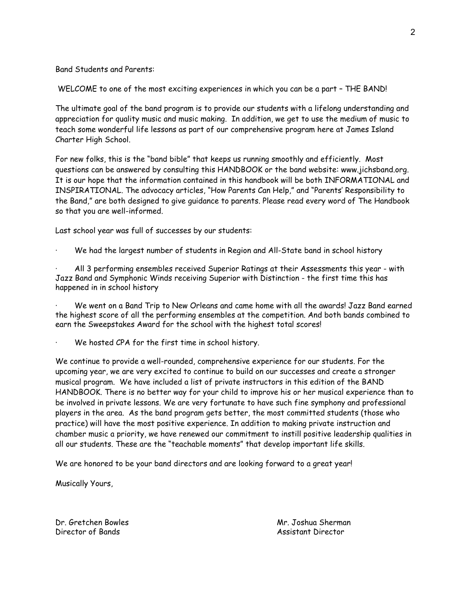Band Students and Parents:

WELCOME to one of the most exciting experiences in which you can be a part – THE BAND!

The ultimate goal of the band program is to provide our students with a lifelong understanding and appreciation for quality music and music making. In addition, we get to use the medium of music to teach some wonderful life lessons as part of our comprehensive program here at James Island Charter High School.

For new folks, this is the "band bible" that keeps us running smoothly and efficiently. Most questions can be answered by consulting this HANDBOOK or the band website: www.jichsband.org. It is our hope that the information contained in this handbook will be both INFORMATIONAL and INSPIRATIONAL. The advocacy articles, "How Parents Can Help," and "Parents' Responsibility to the Band," are both designed to give guidance to parents. Please read every word of The Handbook so that you are well-informed.

Last school year was full of successes by our students:

We had the largest number of students in Region and All-State band in school history

· All 3 performing ensembles received Superior Ratings at their Assessments this year - with Jazz Band and Symphonic Winds receiving Superior with Distinction - the first time this has happened in in school history

We went on a Band Trip to New Orleans and came home with all the awards! Jazz Band earned the highest score of all the performing ensembles at the competition. And both bands combined to earn the Sweepstakes Award for the school with the highest total scores!

We hosted CPA for the first time in school history.

We continue to provide a well-rounded, comprehensive experience for our students. For the upcoming year, we are very excited to continue to build on our successes and create a stronger musical program. We have included a list of private instructors in this edition of the BAND HANDBOOK. There is no better way for your child to improve his or her musical experience than to be involved in private lessons. We are very fortunate to have such fine symphony and professional players in the area. As the band program gets better, the most committed students (those who practice) will have the most positive experience. In addition to making private instruction and chamber music a priority, we have renewed our commitment to instill positive leadership qualities in all our students. These are the "teachable moments" that develop important life skills.

We are honored to be your band directors and are looking forward to a great year!

Musically Yours,

Dr. Gretchen Bowles Mr. Joshua Sherman Director of Bands **Assistant Director Assistant Director**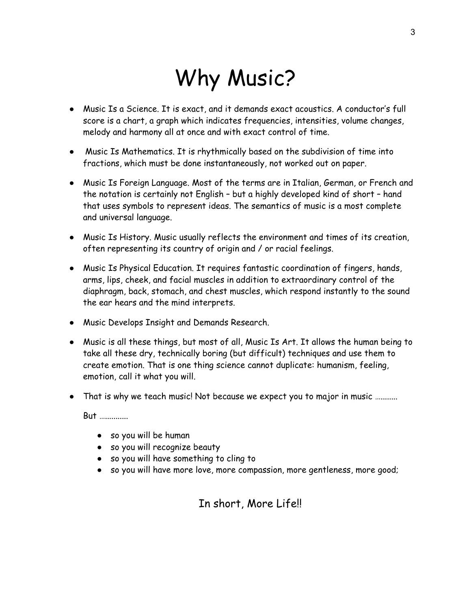# Why Music?

- Music Is a Science. It is exact, and it demands exact acoustics. A conductor's full score is a chart, a graph which indicates frequencies, intensities, volume changes, melody and harmony all at once and with exact control of time.
- Music Is Mathematics. It is rhythmically based on the subdivision of time into fractions, which must be done instantaneously, not worked out on paper.
- Music Is Foreign Language. Most of the terms are in Italian, German, or French and the notation is certainly not English – but a highly developed kind of short – hand that uses symbols to represent ideas. The semantics of music is a most complete and universal language.
- Music Is History. Music usually reflects the environment and times of its creation, often representing its country of origin and / or racial feelings.
- Music Is Physical Education. It requires fantastic coordination of fingers, hands, arms, lips, cheek, and facial muscles in addition to extraordinary control of the diaphragm, back, stomach, and chest muscles, which respond instantly to the sound the ear hears and the mind interprets.
- Music Develops Insight and Demands Research.
- Music is all these things, but most of all, Music Is Art. It allows the human being to take all these dry, technically boring (but difficult) techniques and use them to create emotion. That is one thing science cannot duplicate: humanism, feeling, emotion, call it what you will.
- That is why we teach music! Not because we expect you to major in music …........

But …...........

- so you will be human
- so you will recognize beauty
- so you will have something to cling to
- so you will have more love, more compassion, more gentleness, more good;

### In short, More Life!!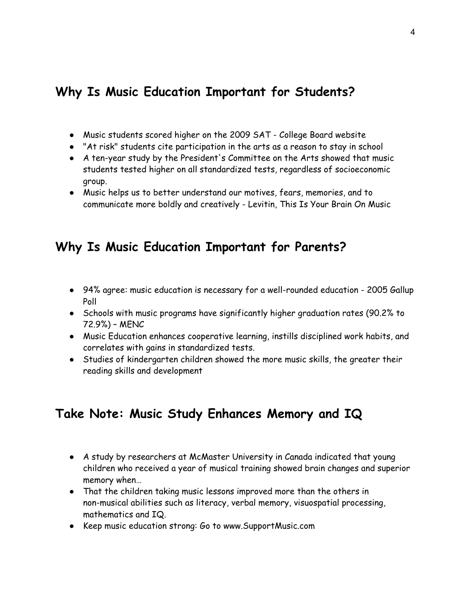### **Why Is Music Education Important for Students?**

- Music students scored higher on the 2009 SAT College Board website
- "At risk" students cite participation in the arts as a reason to stay in school
- A ten-year study by the President's Committee on the Arts showed that music students tested higher on all standardized tests, regardless of socioeconomic group.
- Music helps us to better understand our motives, fears, memories, and to communicate more boldly and creatively - Levitin, This Is Your Brain On Music

### **Why Is Music Education Important for Parents?**

- 94% agree: music education is necessary for a well-rounded education 2005 Gallup Poll
- Schools with music programs have significantly higher graduation rates (90.2% to 72.9%) – MENC
- Music Education enhances cooperative learning, instills disciplined work habits, and correlates with gains in standardized tests.
- Studies of kindergarten children showed the more music skills, the greater their reading skills and development

### **Take Note: Music Study Enhances Memory and IQ**

- A study by researchers at McMaster University in Canada indicated that young children who received a year of musical training showed brain changes and superior memory when…
- That the children taking music lessons improved more than the others in non-musical abilities such as literacy, verbal memory, visuospatial processing, mathematics and IQ.
- Keep music education strong: Go to www.SupportMusic.com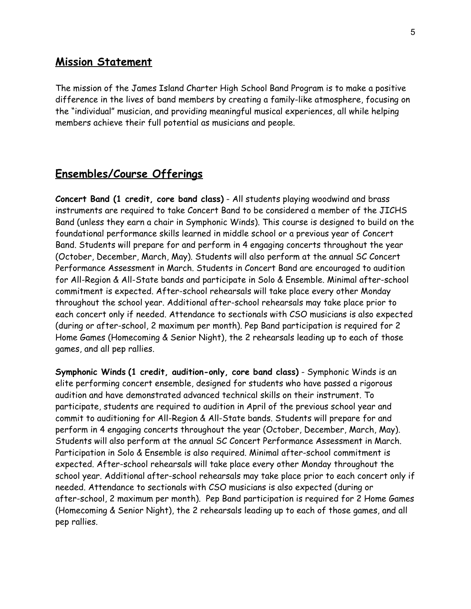#### **Mission Statement**

The mission of the James Island Charter High School Band Program is to make a positive difference in the lives of band members by creating a family-like atmosphere, focusing on the "individual" musician, and providing meaningful musical experiences, all while helping members achieve their full potential as musicians and people.

### **Ensembles/Course Offerings**

**Concert Band (1 credit, core band class)** - All students playing woodwind and brass instruments are required to take Concert Band to be considered a member of the JICHS Band (unless they earn a chair in Symphonic Winds). This course is designed to build on the foundational performance skills learned in middle school or a previous year of Concert Band. Students will prepare for and perform in 4 engaging concerts throughout the year (October, December, March, May). Students will also perform at the annual SC Concert Performance Assessment in March. Students in Concert Band are encouraged to audition for All-Region & All-State bands and participate in Solo & Ensemble. Minimal after-school commitment is expected. After-school rehearsals will take place every other Monday throughout the school year. Additional after-school rehearsals may take place prior to each concert only if needed. Attendance to sectionals with CSO musicians is also expected (during or after-school, 2 maximum per month). Pep Band participation is required for 2 Home Games (Homecoming & Senior Night), the 2 rehearsals leading up to each of those games, and all pep rallies.

**Symphonic Winds (1 credit, audition-only, core band class)** - Symphonic Winds is an elite performing concert ensemble, designed for students who have passed a rigorous audition and have demonstrated advanced technical skills on their instrument. To participate, students are required to audition in April of the previous school year and commit to auditioning for All-Region & All-State bands. Students will prepare for and perform in 4 engaging concerts throughout the year (October, December, March, May). Students will also perform at the annual SC Concert Performance Assessment in March. Participation in Solo & Ensemble is also required. Minimal after-school commitment is expected. After-school rehearsals will take place every other Monday throughout the school year. Additional after-school rehearsals may take place prior to each concert only if needed. Attendance to sectionals with CSO musicians is also expected (during or after-school, 2 maximum per month). Pep Band participation is required for 2 Home Games (Homecoming & Senior Night), the 2 rehearsals leading up to each of those games, and all pep rallies.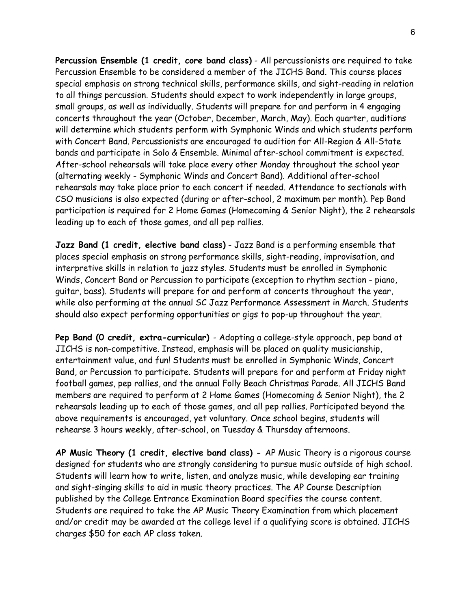**Percussion Ensemble (1 credit, core band class)** - All percussionists are required to take Percussion Ensemble to be considered a member of the JICHS Band. This course places special emphasis on strong technical skills, performance skills, and sight-reading in relation to all things percussion. Students should expect to work independently in large groups, small groups, as well as individually. Students will prepare for and perform in 4 engaging concerts throughout the year (October, December, March, May). Each quarter, auditions will determine which students perform with Symphonic Winds and which students perform with Concert Band. Percussionists are encouraged to audition for All-Region & All-State bands and participate in Solo & Ensemble. Minimal after-school commitment is expected. After-school rehearsals will take place every other Monday throughout the school year (alternating weekly - Symphonic Winds and Concert Band). Additional after-school rehearsals may take place prior to each concert if needed. Attendance to sectionals with CSO musicians is also expected (during or after-school, 2 maximum per month). Pep Band participation is required for 2 Home Games (Homecoming & Senior Night), the 2 rehearsals leading up to each of those games, and all pep rallies.

**Jazz Band (1 credit, elective band class)** - Jazz Band is a performing ensemble that places special emphasis on strong performance skills, sight-reading, improvisation, and interpretive skills in relation to jazz styles. Students must be enrolled in Symphonic Winds, Concert Band or Percussion to participate (exception to rhythm section - piano, guitar, bass). Students will prepare for and perform at concerts throughout the year, while also performing at the annual SC Jazz Performance Assessment in March. Students should also expect performing opportunities or gigs to pop-up throughout the year.

**Pep Band (0 credit, extra-curricular)** - Adopting a college-style approach, pep band at JICHS is non-competitive. Instead, emphasis will be placed on quality musicianship, entertainment value, and fun! Students must be enrolled in Symphonic Winds, Concert Band, or Percussion to participate. Students will prepare for and perform at Friday night football games, pep rallies, and the annual Folly Beach Christmas Parade. All JICHS Band members are required to perform at 2 Home Games (Homecoming & Senior Night), the 2 rehearsals leading up to each of those games, and all pep rallies. Participated beyond the above requirements is encouraged, yet voluntary. Once school begins, students will rehearse 3 hours weekly, after-school, on Tuesday & Thursday afternoons.

**AP Music Theory (1 credit, elective band class) -** AP Music Theory is a rigorous course designed for students who are strongly considering to pursue music outside of high school. Students will learn how to write, listen, and analyze music, while developing ear training and sight-singing skills to aid in music theory practices. The AP Course Description published by the College Entrance Examination Board specifies the course content. Students are required to take the AP Music Theory Examination from which placement and/or credit may be awarded at the college level if a qualifying score is obtained. JICHS charges \$50 for each AP class taken.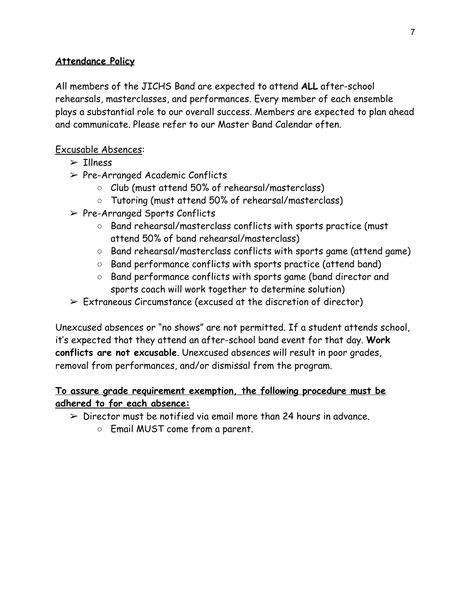### **Attendance Policy**

All members of the JICHS Band are expected to attend **ALL** after-school rehearsals, masterclasses, and performances. Every member of each ensemble plays a substantial role to our overall success. Members are expected to plan ahead and communicate. Please refer to our Master Band Calendar often.

### Excusable Absences:

- $\geq$  Tllness
- $\triangleright$  Pre-Arranged Academic Conflicts
	- Club (must attend 50% of rehearsal/masterclass)
	- Tutoring (must attend 50% of rehearsal/masterclass)
- ➢ Pre-Arranged Sports Conflicts
	- Band rehearsal/masterclass conflicts with sports practice (must attend 50% of band rehearsal/masterclass)
	- Band rehearsal/masterclass conflicts with sports game (attend game)
	- Band performance conflicts with sports practice (attend band)
	- Band performance conflicts with sports game (band director and sports coach will work together to determine solution)
- $\triangleright$  Extraneous Circumstance (excused at the discretion of director)

Unexcused absences or "no shows" are not permitted. If a student attends school, it's expected that they attend an after-school band event for that day. **Work conflicts are not excusable**. Unexcused absences will result in poor grades, removal from performances, and/or dismissal from the program.

### **To assure grade requirement exemption, the following procedure must be adhered to for each absence:**

- $\geq$  Director must be notified via email more than 24 hours in advance.
	- Email MUST come from a parent.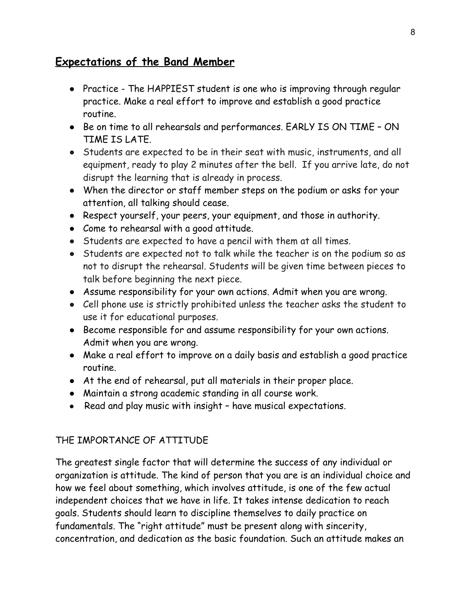### **Expectations of the Band Member**

- Practice The HAPPIEST student is one who is improving through regular practice. Make a real effort to improve and establish a good practice routine.
- Be on time to all rehearsals and performances. EARLY IS ON TIME ON TIME IS LATE.
- Students are expected to be in their seat with music, instruments, and all equipment, ready to play 2 minutes after the bell. If you arrive late, do not disrupt the learning that is already in process.
- When the director or staff member steps on the podium or asks for your attention, all talking should cease.
- Respect yourself, your peers, your equipment, and those in authority.
- Come to rehearsal with a good attitude.
- Students are expected to have a pencil with them at all times.
- Students are expected not to talk while the teacher is on the podium so as not to disrupt the rehearsal. Students will be given time between pieces to talk before beginning the next piece.
- Assume responsibility for your own actions. Admit when you are wrong.
- Cell phone use is strictly prohibited unless the teacher asks the student to use it for educational purposes.
- Become responsible for and assume responsibility for your own actions. Admit when you are wrong.
- Make a real effort to improve on a daily basis and establish a good practice routine.
- At the end of rehearsal, put all materials in their proper place.
- Maintain a strong academic standing in all course work.
- Read and play music with insight have musical expectations.

### THE IMPORTANCE OF ATTITUDE

The greatest single factor that will determine the success of any individual or organization is attitude. The kind of person that you are is an individual choice and how we feel about something, which involves attitude, is one of the few actual independent choices that we have in life. It takes intense dedication to reach goals. Students should learn to discipline themselves to daily practice on fundamentals. The "right attitude" must be present along with sincerity, concentration, and dedication as the basic foundation. Such an attitude makes an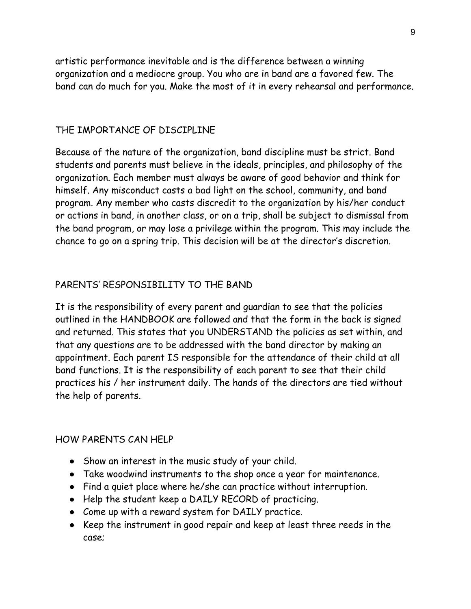artistic performance inevitable and is the difference between a winning organization and a mediocre group. You who are in band are a favored few. The band can do much for you. Make the most of it in every rehearsal and performance.

#### THE IMPORTANCE OF DISCIPLINE

Because of the nature of the organization, band discipline must be strict. Band students and parents must believe in the ideals, principles, and philosophy of the organization. Each member must always be aware of good behavior and think for himself. Any misconduct casts a bad light on the school, community, and band program. Any member who casts discredit to the organization by his/her conduct or actions in band, in another class, or on a trip, shall be subject to dismissal from the band program, or may lose a privilege within the program. This may include the chance to go on a spring trip. This decision will be at the director's discretion.

### PARENTS' RESPONSIBILITY TO THE BAND

It is the responsibility of every parent and guardian to see that the policies outlined in the HANDBOOK are followed and that the form in the back is signed and returned. This states that you UNDERSTAND the policies as set within, and that any questions are to be addressed with the band director by making an appointment. Each parent IS responsible for the attendance of their child at all band functions. It is the responsibility of each parent to see that their child practices his / her instrument daily. The hands of the directors are tied without the help of parents.

#### HOW PARENTS CAN HELP

- Show an interest in the music study of your child.
- Take woodwind instruments to the shop once a year for maintenance.
- Find a quiet place where he/she can practice without interruption.
- Help the student keep a DAILY RECORD of practicing.
- Come up with a reward system for DAILY practice.
- Keep the instrument in good repair and keep at least three reeds in the case;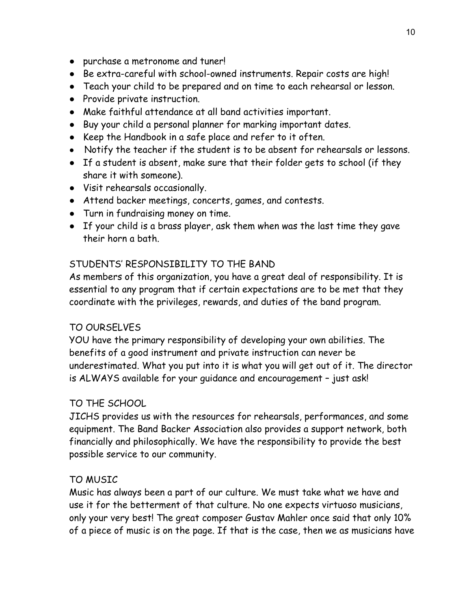- purchase a metronome and tuner!
- Be extra-careful with school-owned instruments. Repair costs are high!
- Teach your child to be prepared and on time to each rehearsal or lesson.
- Provide private instruction.
- Make faithful attendance at all band activities important.
- Buy your child a personal planner for marking important dates.
- Keep the Handbook in a safe place and refer to it often.
- Notify the teacher if the student is to be absent for rehearsals or lessons.
- If a student is absent, make sure that their folder gets to school (if they share it with someone).
- Visit rehearsals occasionally.
- Attend backer meetings, concerts, games, and contests.
- Turn in fundraising money on time.
- If your child is a brass player, ask them when was the last time they gave their horn a bath.

### STUDENTS' RESPONSIBILITY TO THE BAND

As members of this organization, you have a great deal of responsibility. It is essential to any program that if certain expectations are to be met that they coordinate with the privileges, rewards, and duties of the band program.

### TO OURSELVES

YOU have the primary responsibility of developing your own abilities. The benefits of a good instrument and private instruction can never be underestimated. What you put into it is what you will get out of it. The director is ALWAYS available for your guidance and encouragement – just ask!

### TO THE SCHOOL

JICHS provides us with the resources for rehearsals, performances, and some equipment. The Band Backer Association also provides a support network, both financially and philosophically. We have the responsibility to provide the best possible service to our community.

### TO MUSIC

Music has always been a part of our culture. We must take what we have and use it for the betterment of that culture. No one expects virtuoso musicians, only your very best! The great composer Gustav Mahler once said that only 10% of a piece of music is on the page. If that is the case, then we as musicians have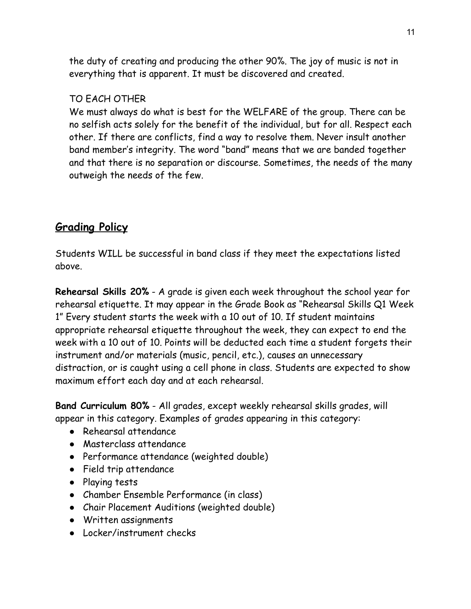the duty of creating and producing the other 90%. The joy of music is not in everything that is apparent. It must be discovered and created.

### TO EACH OTHER

We must always do what is best for the WELFARE of the group. There can be no selfish acts solely for the benefit of the individual, but for all. Respect each other. If there are conflicts, find a way to resolve them. Never insult another band member's integrity. The word "band" means that we are banded together and that there is no separation or discourse. Sometimes, the needs of the many outweigh the needs of the few.

### **Grading Policy**

Students WILL be successful in band class if they meet the expectations listed above.

**Rehearsal Skills 20%** - A grade is given each week throughout the school year for rehearsal etiquette. It may appear in the Grade Book as "Rehearsal Skills Q1 Week 1" Every student starts the week with a 10 out of 10. If student maintains appropriate rehearsal etiquette throughout the week, they can expect to end the week with a 10 out of 10. Points will be deducted each time a student forgets their instrument and/or materials (music, pencil, etc.), causes an unnecessary distraction, or is caught using a cell phone in class. Students are expected to show maximum effort each day and at each rehearsal.

**Band Curriculum 80%** - All grades, except weekly rehearsal skills grades, will appear in this category. Examples of grades appearing in this category:

- Rehearsal attendance
- Masterclass attendance
- Performance attendance (weighted double)
- Field trip attendance
- Playing tests
- Chamber Ensemble Performance (in class)
- Chair Placement Auditions (weighted double)
- Written assignments
- Locker/instrument checks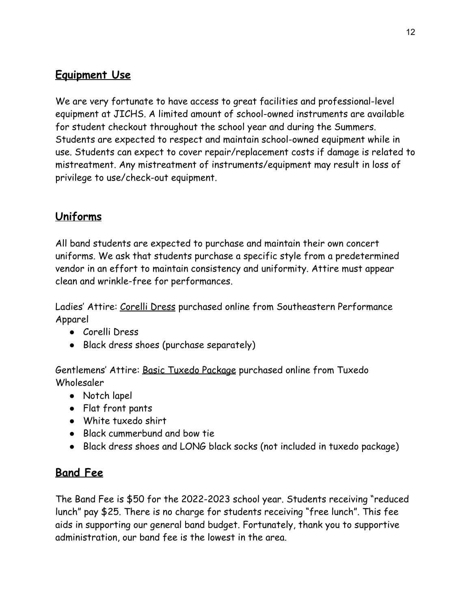### **Equipment Use**

We are very fortunate to have access to great facilities and professional-level equipment at JICHS. A limited amount of school-owned instruments are available for student checkout throughout the school year and during the Summers. Students are expected to respect and maintain school-owned equipment while in use. Students can expect to cover repair/replacement costs if damage is related to mistreatment. Any mistreatment of instruments/equipment may result in loss of privilege to use/check-out equipment.

### **Uniforms**

All band students are expected to purchase and maintain their own concert uniforms. We ask that students purchase a specific style from a predetermined vendor in an effort to maintain consistency and uniformity. Attire must appear clean and wrinkle-free for performances.

Ladies' Attire: Corelli Dress purchased online from Southeastern Performance Apparel

- Corelli Dress
- Black dress shoes (purchase separately)

Gentlemens' Attire: Basic Tuxedo Package purchased online from Tuxedo Wholesaler

- Notch lapel
- Flat front pants
- White tuxedo shirt
- Black cummerbund and bow tie
- Black dress shoes and LONG black socks (not included in tuxedo package)

### **Band Fee**

The Band Fee is \$50 for the 2022-2023 school year. Students receiving "reduced lunch" pay \$25. There is no charge for students receiving "free lunch". This fee aids in supporting our general band budget. Fortunately, thank you to supportive administration, our band fee is the lowest in the area.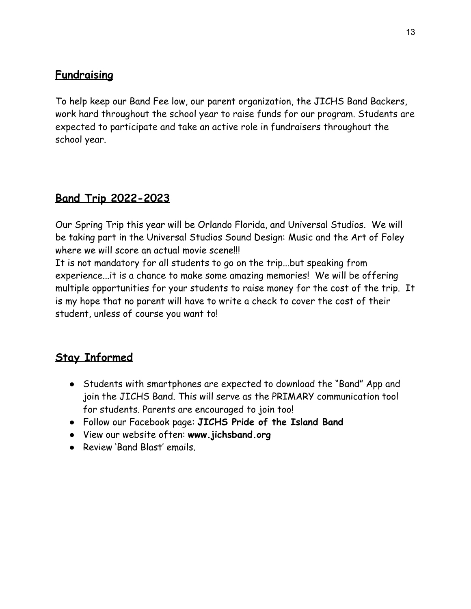### **Fundraising**

To help keep our Band Fee low, our parent organization, the JICHS Band Backers, work hard throughout the school year to raise funds for our program. Students are expected to participate and take an active role in fundraisers throughout the school year.

### **Band Trip 2022-2023**

Our Spring Trip this year will be Orlando Florida, and Universal Studios. We will be taking part in the Universal Studios Sound Design: Music and the Art of Foley where we will score an actual movie scene!!!

It is not mandatory for all students to go on the trip...but speaking from experience...it is a chance to make some amazing memories! We will be offering multiple opportunities for your students to raise money for the cost of the trip. It is my hope that no parent will have to write a check to cover the cost of their student, unless of course you want to!

### **Stay Informed**

- Students with smartphones are expected to download the "Band" App and join the JICHS Band. This will serve as the PRIMARY communication tool for students. Parents are encouraged to join too!
- Follow our Facebook page: **JICHS Pride of the Island Band**
- View our website often: **www.jichsband.org**
- Review 'Band Blast' emails.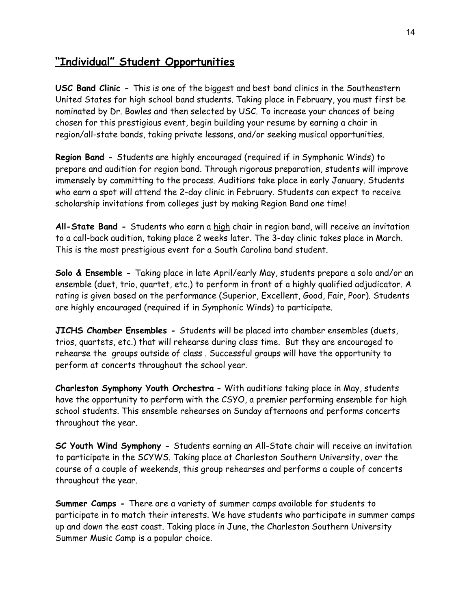### **"Individual" Student Opportunities**

**USC Band Clinic -** This is one of the biggest and best band clinics in the Southeastern United States for high school band students. Taking place in February, you must first be nominated by Dr. Bowles and then selected by USC. To increase your chances of being chosen for this prestigious event, begin building your resume by earning a chair in region/all-state bands, taking private lessons, and/or seeking musical opportunities.

**Region Band -** Students are highly encouraged (required if in Symphonic Winds) to prepare and audition for region band. Through rigorous preparation, students will improve immensely by committing to the process. Auditions take place in early January. Students who earn a spot will attend the 2-day clinic in February. Students can expect to receive scholarship invitations from colleges just by making Region Band one time!

**All-State Band -** Students who earn a high chair in region band, will receive an invitation to a call-back audition, taking place 2 weeks later. The 3-day clinic takes place in March. This is the most prestigious event for a South Carolina band student.

**Solo & Ensemble -** Taking place in late April/early May, students prepare a solo and/or an ensemble (duet, trio, quartet, etc.) to perform in front of a highly qualified adjudicator. A rating is given based on the performance (Superior, Excellent, Good, Fair, Poor). Students are highly encouraged (required if in Symphonic Winds) to participate.

**JICHS Chamber Ensembles -** Students will be placed into chamber ensembles (duets, trios, quartets, etc.) that will rehearse during class time. But they are encouraged to rehearse the groups outside of class . Successful groups will have the opportunity to perform at concerts throughout the school year.

**Charleston Symphony Youth Orchestra -** With auditions taking place in May, students have the opportunity to perform with the CSYO, a premier performing ensemble for high school students. This ensemble rehearses on Sunday afternoons and performs concerts throughout the year.

**SC Youth Wind Symphony -** Students earning an All-State chair will receive an invitation to participate in the SCYWS. Taking place at Charleston Southern University, over the course of a couple of weekends, this group rehearses and performs a couple of concerts throughout the year.

**Summer Camps -** There are a variety of summer camps available for students to participate in to match their interests. We have students who participate in summer camps up and down the east coast. Taking place in June, the Charleston Southern University Summer Music Camp is a popular choice.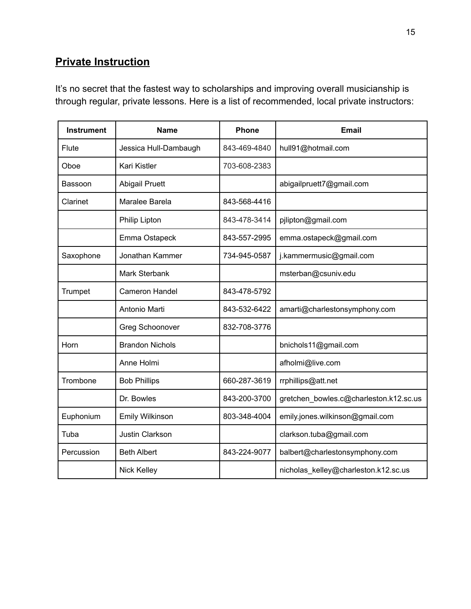### **Private Instruction**

It's no secret that the fastest way to scholarships and improving overall musicianship is through regular, private lessons. Here is a list of recommended, local private instructors:

| <b>Instrument</b> | <b>Name</b>            | <b>Phone</b> | <b>Email</b>                           |
|-------------------|------------------------|--------------|----------------------------------------|
| Flute             | Jessica Hull-Dambaugh  | 843-469-4840 | hull91@hotmail.com                     |
| Oboe              | Kari Kistler           | 703-608-2383 |                                        |
| Bassoon           | <b>Abigail Pruett</b>  |              | abigailpruett7@gmail.com               |
| Clarinet          | Maralee Barela         | 843-568-4416 |                                        |
|                   | Philip Lipton          | 843-478-3414 | pjlipton@gmail.com                     |
|                   | Emma Ostapeck          | 843-557-2995 | emma.ostapeck@gmail.com                |
| Saxophone         | Jonathan Kammer        | 734-945-0587 | j.kammermusic@gmail.com                |
|                   | Mark Sterbank          |              | msterban@csuniv.edu                    |
| Trumpet           | Cameron Handel         | 843-478-5792 |                                        |
|                   | Antonio Marti          | 843-532-6422 | amarti@charlestonsymphony.com          |
|                   | Greg Schoonover        | 832-708-3776 |                                        |
| Horn              | <b>Brandon Nichols</b> |              | bnichols11@gmail.com                   |
|                   | Anne Holmi             |              | afholmi@live.com                       |
| Trombone          | <b>Bob Phillips</b>    | 660-287-3619 | rrphillips@att.net                     |
|                   | Dr. Bowles             | 843-200-3700 | gretchen_bowles.c@charleston.k12.sc.us |
| Euphonium         | Emily Wilkinson        | 803-348-4004 | emily.jones.wilkinson@gmail.com        |
| Tuba              | <b>Justin Clarkson</b> |              | clarkson.tuba@gmail.com                |
| Percussion        | <b>Beth Albert</b>     | 843-224-9077 | balbert@charlestonsymphony.com         |
|                   | <b>Nick Kelley</b>     |              | nicholas_kelley@charleston.k12.sc.us   |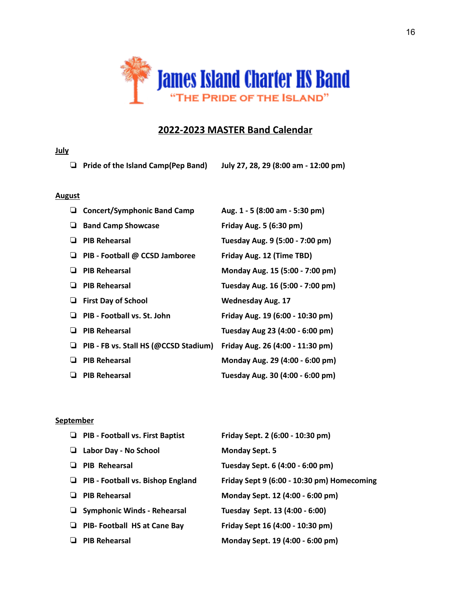

#### **2022-2023 MASTER Band Calendar**

#### **July**

❏ **Pride of the Island Camp(Pep Band) July 27, 28, 29 (8:00 am - 12:00 pm)**

#### **August**

|   | <b>Concert/Symphonic Band Camp</b>    | Aug. 1 - 5 (8:00 am - 5:30 pm)   |
|---|---------------------------------------|----------------------------------|
|   | <b>Band Camp Showcase</b>             | Friday Aug. 5 (6:30 pm)          |
|   | <b>PIB Rehearsal</b>                  | Tuesday Aug. 9 (5:00 - 7:00 pm)  |
| ⊔ | PIB - Football @ CCSD Jamboree        | Friday Aug. 12 (Time TBD)        |
| ப | <b>PIB Rehearsal</b>                  | Monday Aug. 15 (5:00 - 7:00 pm)  |
|   | <b>PIB Rehearsal</b>                  | Tuesday Aug. 16 (5:00 - 7:00 pm) |
|   | <b>First Day of School</b>            | <b>Wednesday Aug. 17</b>         |
|   | PIB - Football vs. St. John           | Friday Aug. 19 (6:00 - 10:30 pm) |
| ப | <b>PIB Rehearsal</b>                  | Tuesday Aug 23 (4:00 - 6:00 pm)  |
| ⊔ | PIB - FB vs. Stall HS (@CCSD Stadium) | Friday Aug. 26 (4:00 - 11:30 pm) |
|   | <b>PIB Rehearsal</b>                  | Monday Aug. 29 (4:00 - 6:00 pm)  |
| ப | <b>PIB Rehearsal</b>                  | Tuesday Aug. 30 (4:00 - 6:00 pm) |

#### **September**

|   | $\Box$ PIB - Football vs. First Baptist  | Friday Sept. 2 (6:00 - 10:30 pm)           |
|---|------------------------------------------|--------------------------------------------|
| ⊔ | Labor Day - No School                    | <b>Monday Sept. 5</b>                      |
|   | <b>PIB Rehearsal</b>                     | Tuesday Sept. 6 (4:00 - 6:00 pm)           |
| ⊔ | <b>PIB - Football vs. Bishop England</b> | Friday Sept 9 (6:00 - 10:30 pm) Homecoming |
|   | <b>PIB Rehearsal</b>                     | Monday Sept. 12 (4:00 - 6:00 pm)           |
|   | $\Box$ Symphonic Winds - Rehearsal       | Tuesday Sept. 13 (4:00 - 6:00)             |
| ⊔ | <b>PIB- Football HS at Cane Bay</b>      | Friday Sept 16 (4:00 - 10:30 pm)           |
|   | <b>PIB Rehearsal</b>                     | Monday Sept. 19 (4:00 - 6:00 pm)           |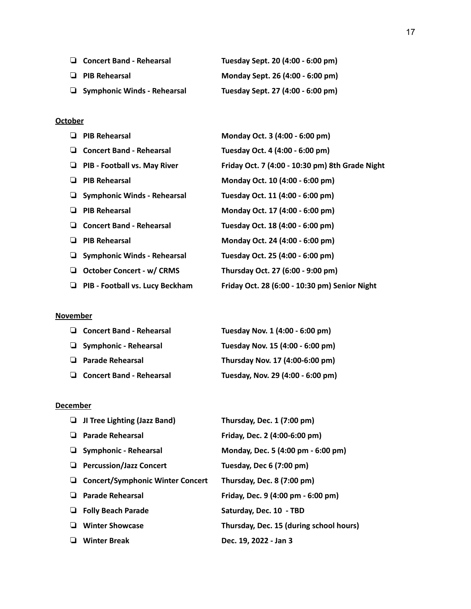| $\Box$ Concert Band - Rehearsal    | Tuesday Sept. 20 (4:00 - 6:00 pm) |
|------------------------------------|-----------------------------------|
| $\Box$ PIB Rehearsal               | Monday Sept. 26 (4:00 - 6:00 pm)  |
| $\Box$ Symphonic Winds - Rehearsal | Tuesday Sept. 27 (4:00 - 6:00 pm) |

#### **October**

| <b>PIB Rehearsal</b><br>u               | Monday Oct. 3 (4:00 - 6:00 pm)                  |
|-----------------------------------------|-------------------------------------------------|
| <b>Concert Band - Rehearsal</b><br>⊔    | Tuesday Oct. 4 (4:00 - 6:00 pm)                 |
| PIB - Football vs. May River<br>⊔       | Friday Oct. 7 (4:00 - 10:30 pm) 8th Grade Night |
| <b>PIB Rehearsal</b><br>⊔               | Monday Oct. 10 (4:00 - 6:00 pm)                 |
| <b>Symphonic Winds - Rehearsal</b><br>⊔ | Tuesday Oct. 11 (4:00 - 6:00 pm)                |
| <b>PIB Rehearsal</b><br>⊔               | Monday Oct. 17 (4:00 - 6:00 pm)                 |
| <b>Concert Band - Rehearsal</b><br>⊔    | Tuesday Oct. 18 (4:00 - 6:00 pm)                |
| <b>PIB Rehearsal</b><br>⊔               | Monday Oct. 24 (4:00 - 6:00 pm)                 |
| <b>Symphonic Winds - Rehearsal</b><br>⊔ | Tuesday Oct. 25 (4:00 - 6:00 pm)                |
| <b>October Concert - w/ CRMS</b><br>⊔   | Thursday Oct. 27 (6:00 - 9:00 pm)               |
| PIB - Football vs. Lucy Beckham<br>⊔    | Friday Oct. 28 (6:00 - 10:30 pm) Senior Night   |
|                                         |                                                 |

#### **November**

|   | $\Box$ Concert Band - Rehearsal | Tuesday Nov. 1 (4:00 - 6:00 pm)   |
|---|---------------------------------|-----------------------------------|
|   | $\Box$ Symphonic - Rehearsal    | Tuesday Nov. 15 (4:00 - 6:00 pm)  |
| ப | <b>Parade Rehearsal</b>         | Thursday Nov. 17 (4:00-6:00 pm)   |
|   | <b>Concert Band - Rehearsal</b> | Tuesday, Nov. 29 (4:00 - 6:00 pm) |

#### **December**

| JI Tree Lighting (Jazz Band)            | Thursday, Dec. 1 (7:00 pm)              |
|-----------------------------------------|-----------------------------------------|
| <b>Parade Rehearsal</b>                 | Friday, Dec. 2 (4:00-6:00 pm)           |
| <b>Symphonic - Rehearsal</b>            | Monday, Dec. 5 (4:00 pm - 6:00 pm)      |
| <b>Percussion/Jazz Concert</b>          | Tuesday, Dec 6 (7:00 pm)                |
| <b>Concert/Symphonic Winter Concert</b> | Thursday, Dec. 8 (7:00 pm)              |
| <b>Parade Rehearsal</b>                 | Friday, Dec. 9 (4:00 pm - 6:00 pm)      |
| <b>Folly Beach Parade</b>               | Saturday, Dec. 10 - TBD                 |
| <b>Winter Showcase</b>                  | Thursday, Dec. 15 (during school hours) |
| <b>Winter Break</b>                     | Dec. 19, 2022 - Jan 3                   |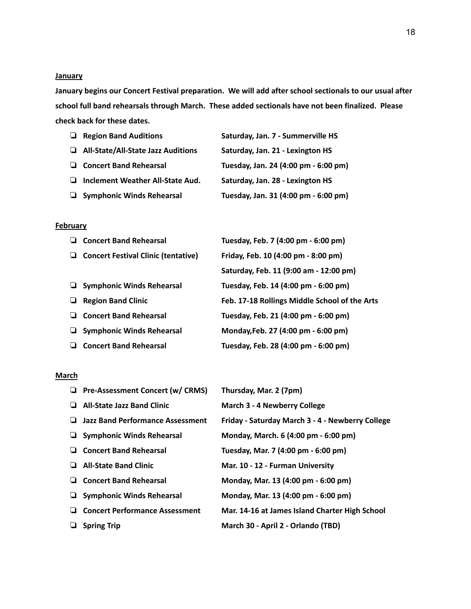#### **January**

**January begins our Concert Festival preparation. We will add after school sectionals to our usual after school full band rehearsals through March. These added sectionals have not been finalized. Please check back for these dates.**

| ❏ | <b>Region Band Auditions</b>              | Saturday, Jan. 7 - Summerville HS    |
|---|-------------------------------------------|--------------------------------------|
|   | $\Box$ All-State/All-State Jazz Auditions | Saturday, Jan. 21 - Lexington HS     |
|   | □ Concert Band Rehearsal                  | Tuesday, Jan. 24 (4:00 pm - 6:00 pm) |
| ⊔ | Inclement Weather All-State Aud.          | Saturday, Jan. 28 - Lexington HS     |
|   | $\Box$ Symphonic Winds Rehearsal          | Tuesday, Jan. 31 (4:00 pm - 6:00 pm) |

#### **February**

|   | <b>Concert Band Rehearsal</b>              | Tuesday, Feb. 7 (4:00 pm - 6:00 pm)           |
|---|--------------------------------------------|-----------------------------------------------|
| ⊔ | <b>Concert Festival Clinic (tentative)</b> | Friday, Feb. 10 (4:00 pm - 8:00 pm)           |
|   |                                            | Saturday, Feb. 11 (9:00 am - 12:00 pm)        |
|   | <b>Symphonic Winds Rehearsal</b>           | Tuesday, Feb. 14 (4:00 pm - 6:00 pm)          |
|   | <b>Region Band Clinic</b>                  | Feb. 17-18 Rollings Middle School of the Arts |
|   | <b>Concert Band Rehearsal</b>              | Tuesday, Feb. 21 (4:00 pm - 6:00 pm)          |
|   | <b>Symphonic Winds Rehearsal</b>           | Monday, Feb. 27 (4:00 pm - 6:00 pm)           |
|   | <b>Concert Band Rehearsal</b>              | Tuesday, Feb. 28 (4:00 pm - 6:00 pm)          |
|   |                                            |                                               |

#### **March**

|   | <b>Pre-Assessment Concert (w/ CRMS)</b> | Thursday, Mar. 2 (7pm)                           |
|---|-----------------------------------------|--------------------------------------------------|
| ⊔ | <b>All-State Jazz Band Clinic</b>       | <b>March 3 - 4 Newberry College</b>              |
|   | $\Box$ Jazz Band Performance Assessment | Friday - Saturday March 3 - 4 - Newberry College |
| ⊔ | <b>Symphonic Winds Rehearsal</b>        | Monday, March. 6 (4:00 pm - 6:00 pm)             |
|   | <b>Concert Band Rehearsal</b>           | Tuesday, Mar. 7 (4:00 pm - 6:00 pm)              |
| ⊔ | <b>All-State Band Clinic</b>            | Mar. 10 - 12 - Furman University                 |
| ⊔ | <b>Concert Band Rehearsal</b>           | Monday, Mar. 13 (4:00 pm - 6:00 pm)              |
|   | <b>Symphonic Winds Rehearsal</b>        | Monday, Mar. 13 (4:00 pm - 6:00 pm)              |
| ⊔ | <b>Concert Performance Assessment</b>   | Mar. 14-16 at James Island Charter High School   |
|   | <b>Spring Trip</b>                      | March 30 - April 2 - Orlando (TBD)               |